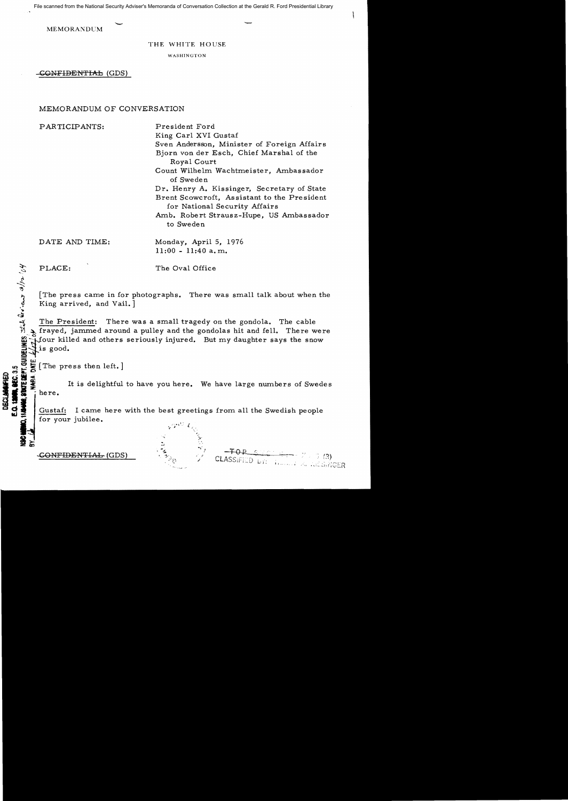File scanned from the National Security Adviser's Memoranda of Conversation Collection at the Gerald R. Ford Presidential Library

MEMORANDUM

THE WHITE HOUSE

WASHINGTON

-CONFIDENTIAL (GDS)

# MEMORANDUM OF CONVERSATION

PARTICIPANTS: President Ford

King Carl XVI Gustaf Sven Andersson, Minister of Foreign Affairs Bjorn von der Esch, Chief Marshal of the Royal Court Count Wilhelm Wachtmeister, Ambassador of Sweden Dr. Henry A. Kissinger, Secretary of State Brent Scowcroft, Assistant to the President for National Security Affairs Amb. Robert Strausz-Hupe, US Ambassador to Sweden

DATE AND TIME: Monday, April 5, 1976  $11:00 - 11:40$  a.m.

~

PLACE: The Oval Office

[The press came in for photographs. There was small talk about when the  $King$  arrived, and Vail.]

The President: There was a small tragedy on the gondola. The cable Irayed, jammed around a pulley and the gondolas hit and fell. There were f3\*four killed and others seriously injured. But my daughter says the snow  $\frac{2}{10}$  is good.

SW.<br>E  $\mathbf{u}$   $\mathbf{v}$   $\mathbf{v}$   $\mathbf{v}$   $\mathbf{v}$  [The press then left.] **c:r:ta.. 0**

in a state of the press then left. ]<br> **Solution**<br> **Solution**<br> **Solution**<br> **Solution**<br> **Solution**<br> **Solution**<br> **Solution**<br> **Solution**<br> **Solution**<br> **Solution**<br> **Solution**<br> **Solution**<br> **Solution**<br> **Solution**<br> **Solution**<br> **Sol** 

Gustaf: I came here with the best greetings from all the Swedish people for your jubilee.



CLASSIFIED britten and the ASSINGER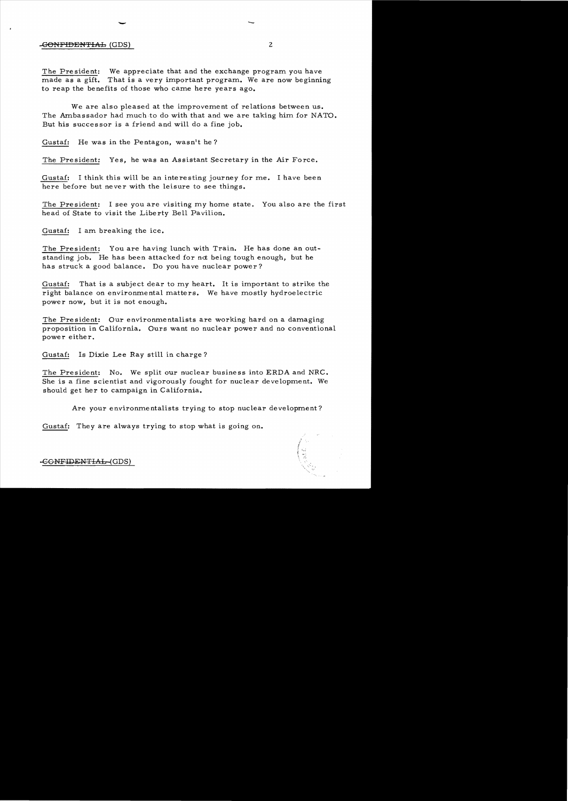### **EONFIDENTIAL** (GDS) 2

The Pre sident: We appreciate that and the exchange program you have made as a gift. That is a very important program. We are now beginning to reap the benefits of those who came here years ago.

 $-$ 

We are also pleased at the improvement of relations between us. The Ambassador had much to do with that and we are taking him for NATO. But his successor is a friend and will do a fine job.

Gustaf: He was in the Pentagon, wasn't he?

The President: Yes, he was an Assistant Secretary in the Air Force.

Gustaf: I think this will be an interesting journey for me. I have been here before but never with the leisure to see things.

The President: I see you are visiting my home state. You also are the first head of State to visit the Liberty Bell Pavilion.

Gustaf: I am breaking the ice.

The President: You are having lunch with Train. He has done an outstanding job. He has been attacked for not being tough enough, but he has struck a good balance. Do you have nuclear power?

Gustaf: That is a subject dear to my heart. It is important to strike the right balance on environmental matters. We have mostly hydroe lectric power now, but it is not enough.

The President: Our environmentalists are working hard on a damaging proposition in California. Ours want no nuclear power and no conventional power either.

Gustaf: Is Dixie Lee Ray still in charge?

The President: No. We split our nuclear business into ERDA and NRC. She is a fine scientist and vigorously fought for nuclear development. We should get her to campaign in California.

Are your environmentalists trying to stop nuclear development?

Gustaf: They are always trying to stop what is going on.

-GONFIDENTIAL-(GDS)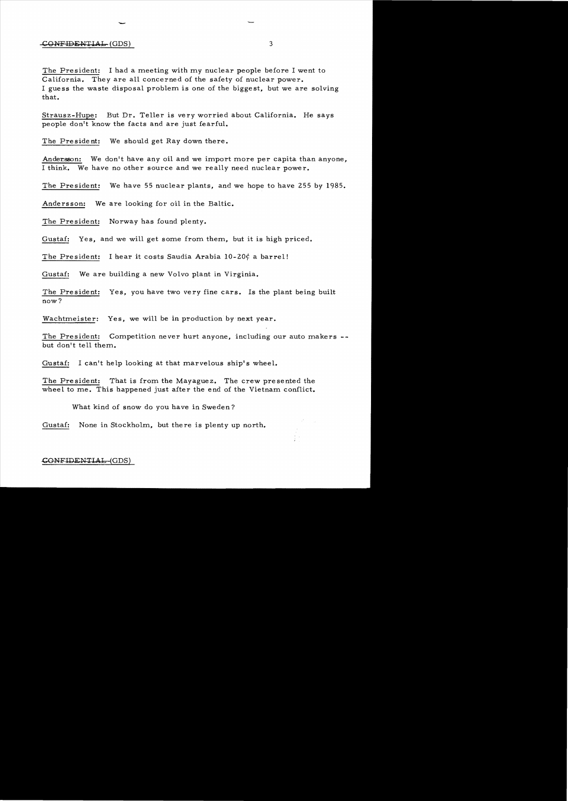#### CGNFIDENT1AL (GDS) 3

The President: I had a meeting with my nuclear people before I went to California. They are all concerned of the safety of nuclear power. I guess the waste disposal problem is one of the biggest, but we are solving that.

Strausz-Hupe: But Dr. Teller is very worried about California. He says people don't know the facts and are just fearful.

The President: We should get Ray down there.

-

Andersson: We don't have any oil and we import more per capita than anyone, I think. We have no other source and we really need nuclear power.

The President: We have 55 nuclear plants, and we hope to have 255 *by 1985.* 

Andersson: We are looking for oil in the Baltic.

The President: Norway has found plenty.

Gustaf: Yes, and we will get some from them, but it is high priced.

The President: I hear it costs Saudia Arabia  $10-20\frac{\text{d}}{\text{e}}$  a barrel!

Gustaf: We are building a new Volvo plant in Virginia.

The President: Yes, you have two very fine cars. Is the plant being built now?

Wachtmeister: Yes, we will be in production by next year.

The President: Competition never hurt anyone, including our auto makers but don't tell them.

Gustaf: I can't help looking at that marvelous ship's wheel.

The President: That is from the Mayaguez. The crew presented the wheel to me. This happened just after the end of the Vietnam conflict.

What kind of snow do you have in Sweden?

Gustaf: None in Stockholm, but there is plenty up north.

#### CONFIDENTIAL-(GDS)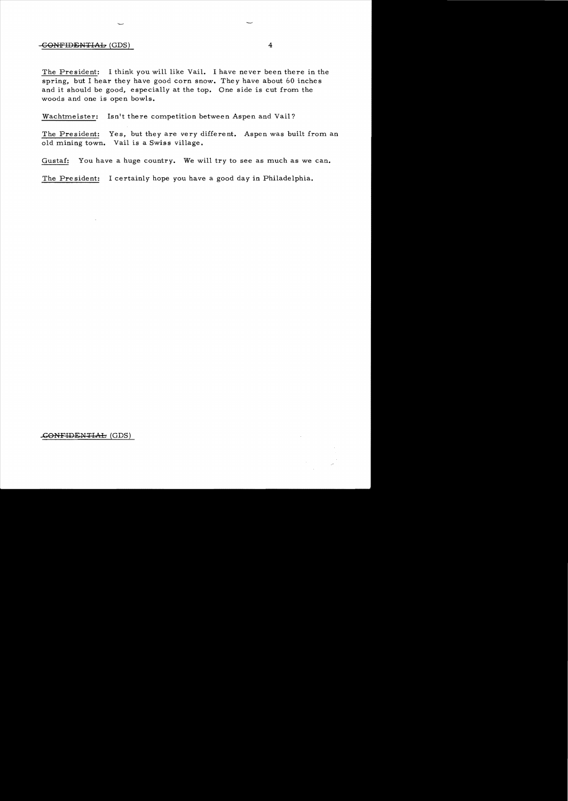## $-$ <del>CONFIDENTIAL</del> (GDS) 4

The President: I think you will like Vail. I have never been there in the spring, but I hear *they* have good corn snow. They have about 60 inches and it should be good, especially at the top. One side is cut from the woods and one is open bowls.

Wachtmeister: Isn't there competition between Aspen and Vail?

The President: Yes, but *they* are very different. Aspen was built from an old mining town. Vail is a Swiss village.

Gustaf: You have a huge country. We will try to see as much as we can.

The President: I certainly hope you have a good day in Philadelphia.

## ..cONFIDENTIAb (GDS)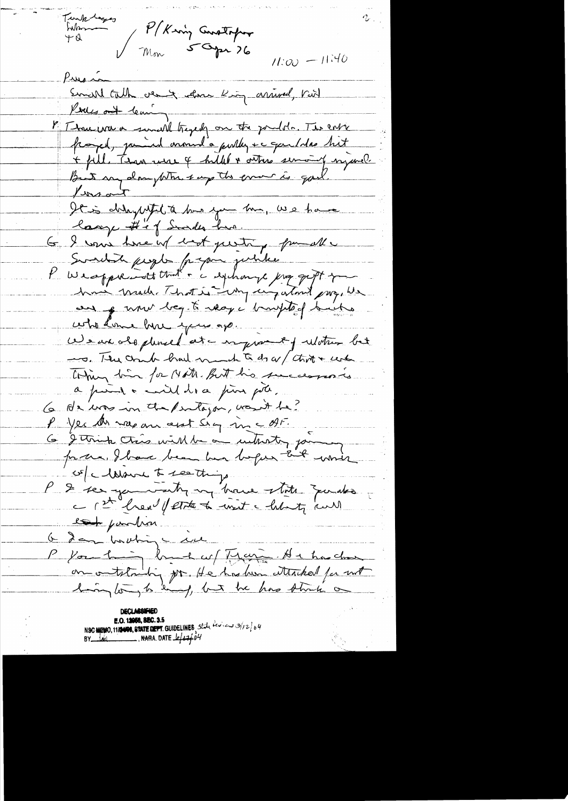Turk begger P/King Constaper War Mon 5 Opr 76  $11:00 = 11:40$ Pusi Smith till vent close King arrived, Viit Pouces out leaving I Thousand a sensel traged on the pontole. The corre fraged, jamied around a pully + c queldes but + fill. Than were 4 hilled & others sensing myseral. But my damptom say the error is god.  $\frac{1}{\sqrt{1-\frac{1}{1-\frac{1}{1-\frac{1}{1-\frac{1}{1-\frac{1}{1-\frac{1}{1-\frac{1}{1-\frac{1}{1-\frac{1}{1-\frac{1}{1-\frac{1}{1-\frac{1}{1-\frac{1}{1-\frac{1}{1-\frac{1}{1-\frac{1}{1-\frac{1}{1-\frac{1}{1-\frac{1}{1-\frac{1}{1-\frac{1}{1-\frac{1}{1-\frac{1}{1-\frac{1}{1-\frac{1}{1-\frac{1}{1-\frac{1}{1-\frac{1}{1-\frac{1}{1-\frac{1}{1-\frac{1}{1-\frac{1}{1-\frac{1}{1-\frac{1}{1-\frac{1}{1-\$ It is delayed to the you the, we have large #1 of Sunder har. G I was twenty book perting from all Sundit people propone justike K Westpreadt that is exchange just for how made That is why cinq atout pro, We au q uni begété réagi buillet suite who dome how you ap. We are also planed at a myself water bet -o. The country braid much to do ar thing + center. Thing him for Note. But his successions a puis a mil dia pin più. 6 Ar was in the purtagan, wasn't be? P yes An napam ant sig in att. 6 Jetmin Chais will be an untrostory for for the I have been her before that which ce clarence to see things P & ser yours try my bace state zou des lat pourtion 6 dan bouhing eine on outstanding por. He has her attached for not

**E.O. 12058, 8EC. 3.5**<br>NSC MEMO, 11/24008, STATE DEPT. GUIDELINES 5tal  $160x - 3126$ <br>BY 14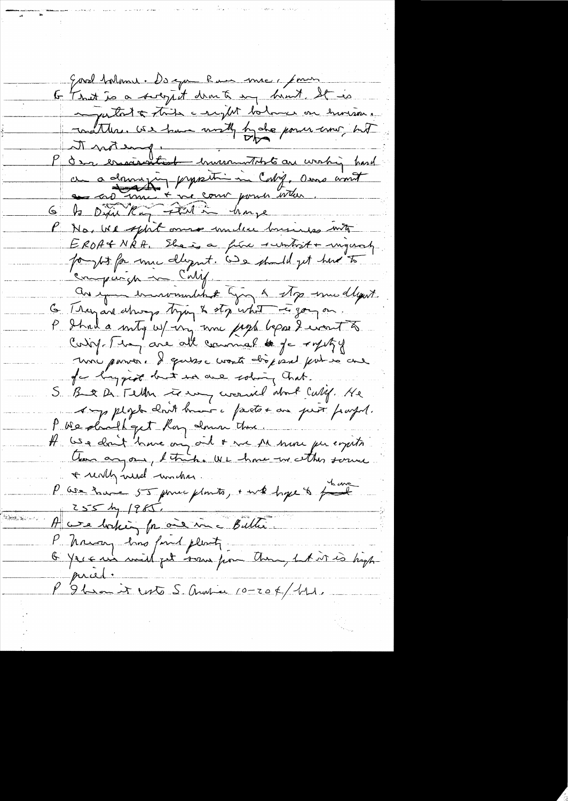Evrol talant. De que han me, jours to That is a socytit drant in hunt It is inditions as the complete balmer on human.<br>The mothers we have until by de power comp but a drugin proposition Cabig, and won't en cro mui + vie com pour voter. 6 to Dific King Father have P No, We spirt onne under brisines into EROATNAA, Eleisa fine sumboit + migural forght for mu dlegent. We should get have to comparison in Cally an epous democranaliste lying & stop esseu dagent 6 Trayan change typy & sty what is gong on. P Ihad a mity w/ in me paga bepard wont to Contre 1 et avec all commal te je royezy une parver. Il quisse worte disposal put so cue for longgist but we we solving hat. S. B & De Tellen to en correl about Call. He Aug plych chait haver i factor au prot payer. P We dough get hay down there. A USA don't have on oil + me Al more per empito. + really weed windres. P We have 55 pouce plants, + wk hope & four  $255$  by  $1985$ . A we baking for one in a Bilti Phrasan has find plenty O Yer en mil pet some pour Au, 1 A vi 20 high mied P'9 ban it est S. Andrew 10-20 K/11.